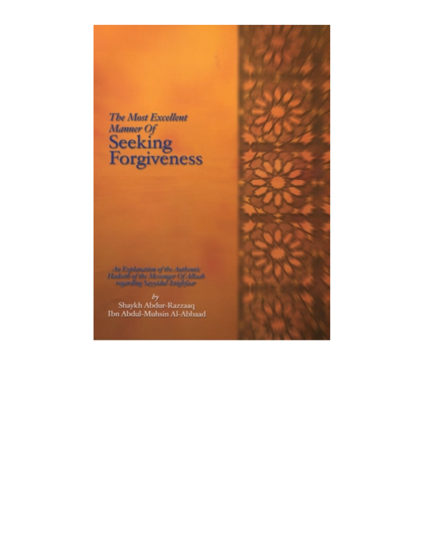

An Explanation of the Authentic **Hadreth of the Messager Of Allaab**<br>myanding Sayyidul-Istightisar

 $% \left\langle \phi _{j}^{\prime }\right\rangle$ Shaykh Abdur-Razzaaq Ibn Abdul-Muhsin Al-Abbaad

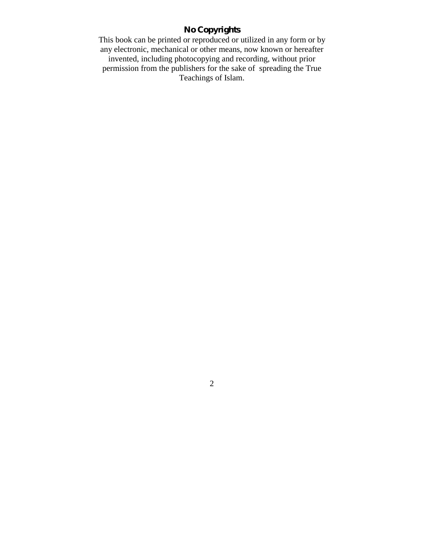# **No Copyrights**

This book can be printed or reproduced or utilized in any form or by any electronic, mechanical or other means, now known or hereafter invented, including photocopying and recording, without prior permission from the publishers for the sake of spreading the True Teachings of Islam.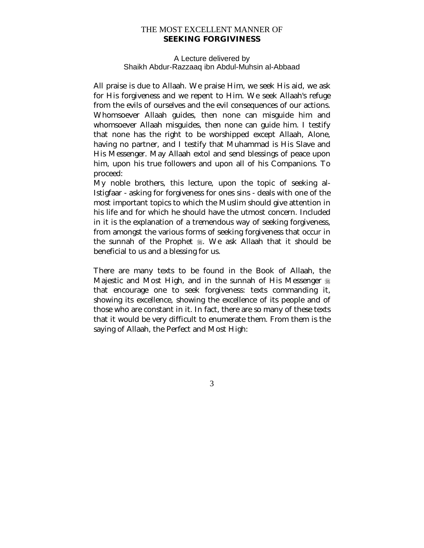### THE MOST EXCELLENT MANNER OF **SEEKING FORGIVINESS**

#### A Lecture delivered by Shaikh Abdur-Razzaaq ibn Abdul-Muhsin al-Abbaad

All praise is due to Allaah. We praise Him, we seek His aid, we ask for His forgiveness and we repent to Him. We seek Allaah's refuge from the evils of ourselves and the evil consequences of our actions. Whomsoever Allaah guides, then none can misguide him and whomsoever Allaah misguides, then none can guide him. I testify that none has the right to be worshipped except Allaah, Alone, having no partner, and I testify that Muhammad is His Slave and His Messenger. May Allaah extol and send blessings of peace upon him, upon his true followers and upon all of his Companions. To proceed:

My noble brothers, this lecture, upon the topic of seeking al-Istigfaar - asking for forgiveness for ones sins - deals with one of the most important topics to which the Muslim should give attention in his life and for which he should have the utmost concern. Included in it is the explanation of a tremendous way of seeking forgiveness, from amongst the various forms of seeking forgiveness that occur in the sunnah of the Prophet . We ask Allaah that it should be beneficial to us and a blessing for us.

There are many texts to be found in the Book of Allaah, the Majestic and Most High, and in the sunnah of His Messenger  $\frac{16}{26}$ that encourage one to seek forgiveness: texts commanding it, showing its excellence, showing the excellence of its people and of those who are constant in it. In fact, there are so many of these texts that it would be very difficult to enumerate them. From them is the saying of Allaah, the Perfect and Most High: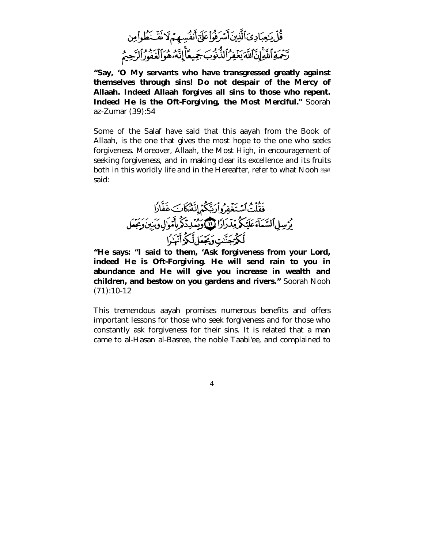قُلْ يَحِبَادِيَ ٱلَّذِينَ أَسْرَفُواْعَلَىّ أَنفُسِهِمْ لَا نَقْـ َ طُواْمِن تَحْمَةِ ٱللَّهِ إِنَّ ٱللَّهَ يَغْفِرُ ٱلذُّنُوبَ جَمِيعًا إِنَّهُ هُوَالَّغْفُورُ الرَّحِيمُ

**"Say, 'O My servants who have transgressed greatly against themselves through sins! Do not despair of the Mercy of Allaah. Indeed Allaah forgives all sins to those who repent. Indeed He is the Oft-Forgiving, the Most Merciful."** Soorah az-Zumar (39):54

Some of the Salaf have said that this aayah from the Book of Allaah, is the one that gives the most hope to the one who seeks forgiveness. Moreover, Allaah, the Most High, in encouragement of seeking forgiveness, and in making clear its excellence and its fruits both in this worldly life and in the Hereafter, refer to what Nooh said:



**"He says: "I said to them, 'Ask forgiveness from your Lord, indeed He is Oft-Forgiving. He will send rain to you in abundance and He will give you increase in wealth and children, and bestow on you gardens and rivers."** Soorah Nooh (71):10-12

This tremendous aayah promises numerous benefits and offers important lessons for those who seek forgiveness and for those who constantly ask forgiveness for their sins. It is related that a man came to al-Hasan al-Basree, the noble Taabi'ee, and complained to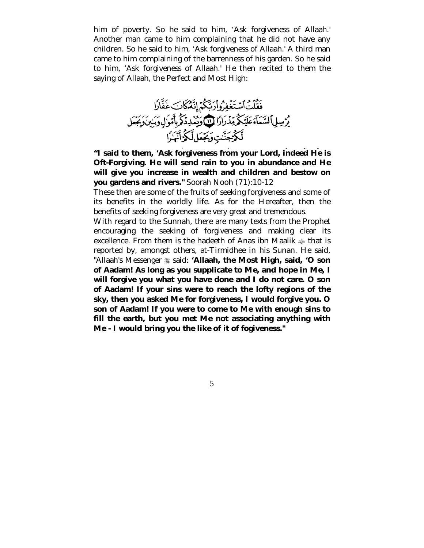him of poverty. So he said to him, 'Ask forgiveness of Allaah.' Another man came to him complaining that he did not have any children. So he said to him, 'Ask forgiveness of Allaah.' A third man came to him complaining of the barrenness of his garden. So he said to him, 'Ask forgiveness of Allaah.' He then recited to them the saying of Allaah, the Perfect and Most High:



**"I said to them, 'Ask forgiveness from your Lord, indeed He is Oft-Forgiving. He will send rain to you in abundance and He will give you increase in wealth and children and bestow on you gardens and rivers."** Soorah Nooh (71):10-12

These then are some of the fruits of seeking forgiveness and some of its benefits in the worldly life. As for the Hereafter, then the benefits of seeking forgiveness are very great and tremendous.

With regard to the Sunnah, there are many texts from the Prophet encouraging the seeking of forgiveness and making clear its excellence. From them is the hadeeth of Anas ibn Maalik  $\triangleq$  that is reported by, amongst others, at-Tirmidhee in his Sunan. He said, "Allaah's Messenger \* said: **'Allaah, the Most High, said, 'O son of Aadam! As long as you supplicate to Me, and hope in Me, I will forgive you what you have done and I do not care. O son of Aadam! If your sins were to reach the lofty regions of the sky, then you asked Me for forgiveness, I would forgive you. O son of Aadam! If you were to come to Me with enough sins to fill the earth, but you met Me not associating anything with Me - I would bring you the like of it of fogiveness."** 

 $\sim$  5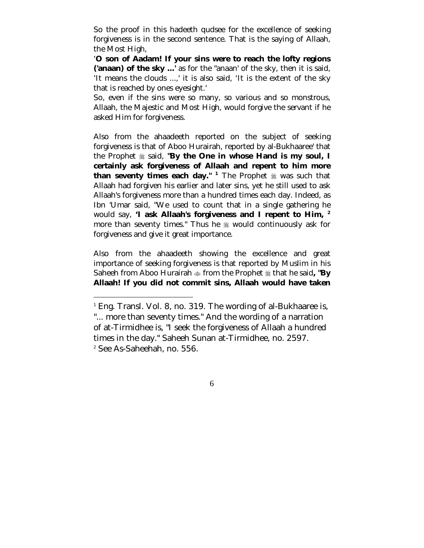So the proof in this hadeeth qudsee for the excellence of seeking forgiveness is in the second sentence. That is the saying of Allaah, the Most High,

'**O son of Aadam! If your sins were to reach the lofty regions ('anaan) of the sky ...'** as for the "anaan' of the sky, then it is said, 'It means the clouds ...,' it is also said, 'It is the extent of the sky that is reached by ones eyesight.'

So, even if the sins were so many, so various and so monstrous, Allaah, the Majestic and Most High, would forgive the servant if he asked Him for forgiveness.

Also from the ahaadeeth reported on the subject of seeking forgiveness is that of Aboo Hurairah, reported by al-Bukhaaree' that the Prophet  $\frac{4}{36}$  said, "By the One in whose Hand is my soul, I **certainly ask forgiveness of Allaah and repent to him more**  than seventy times each day."<sup>1</sup> The Prophet  $\frac{1}{20}$  was such that Allaah had forgiven his earlier and later sins, yet he still used to ask Allaah's forgiveness more than a hundred times each day. Indeed, as Ibn 'Umar said, "We used to count that in a single gathering he would say, **'I ask Allaah's forgiveness and I repent to Him, <sup>2</sup>** more than seventy times." Thus he  $*$  would continuously ask for forgiveness and give it great importance.

Also from the ahaadeeth showing the excellence and great importance of seeking forgiveness is that reported by Muslim in his Saheeh from Aboo Hurairah  $\triangleq$  from the Prophet  $\triangleq$  that he said, "By **Allaah! If you did not commit sins, Allaah would have taken** 

 $\overline{a}$ 

<sup>&</sup>lt;sup>1</sup> Eng. Transl. Vol. 8, no. 319. The wording of al-Bukhaaree is, "... more than seventy times." And the wording of a narration of at-Tirmidhee is, "I seek the forgiveness of Allaah a hundred times in the day." Saheeh Sunan at-Tirmidhee, no. 2597. <sup>2</sup> See As-Saheehah, no. 556.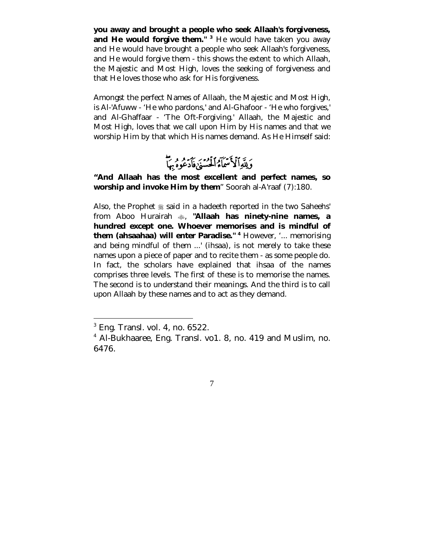**you away and brought a people who seek Allaah's forgiveness,**  and He would forgive them."<sup>3</sup> He would have taken you away and He would have brought a people who seek Allaah's forgiveness, and He would forgive them - this shows the extent to which Allaah, the Majestic and Most High, loves the seeking of forgiveness and that He loves those who ask for His forgiveness.

Amongst the perfect Names of Allaah, the Majestic and Most High, is Al-'Afuww - 'He who pardons,' and Al-Ghafoor - 'He who forgives,' and Al-Ghaffaar - 'The Oft-Forgiving.' Allaah, the Majestic and Most High, loves that we call upon Him by His names and that we worship Him by that which His names demand. As He Himself said:

**"And Allaah has the most excellent and perfect names, so worship and invoke Him by them**" Soorah al-A'raaf (7):180.

Also, the Prophet  $\frac{1}{25}$  said in a hadeeth reported in the two Saheehs' from Aboo Hurairah #, **"Allaah has ninety-nine names, a hundred except one. Whoever memorises and is mindful of them (ahsaahaa) will enter Paradise." <sup>4</sup>** However, '... memorising and being mindful of them ...' (ihsaa), is not merely to take these names upon a piece of paper and to recite them - as some people do. In fact, the scholars have explained that ihsaa of the names comprises three levels. The first of these is to memorise the names. The second is to understand their meanings. And the third is to call upon Allaah by these names and to act as they demand.

 $\overline{a}$ 

<sup>3</sup> Eng. Transl. vol. 4, no. 6522.

<sup>4</sup> Al-Bukhaaree, Eng. Transl. vo1. 8, no. 419 and Muslim, no. 6476.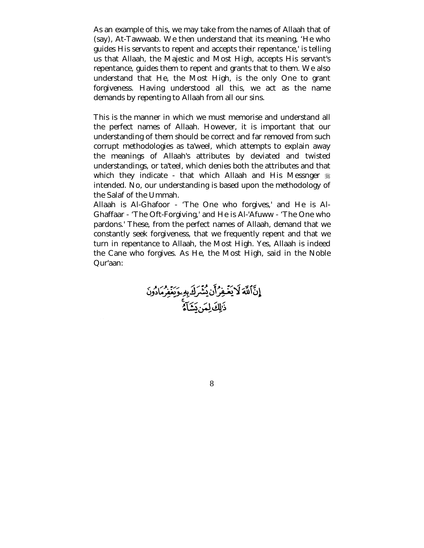As an example of this, we may take from the names of Allaah that of (say), At-Tawwaab. We then understand that its meaning, 'He who guides His servants to repent and accepts their repentance,' is telling us that Allaah, the Majestic and Most High, accepts His servant's repentance, guides them to repent and grants that to them. We also understand that He, the Most High, is the only One to grant forgiveness. Having understood all this, we act as the name demands by repenting to Allaah from all our sins.

This is the manner in which we must memorise and understand all the perfect names of Allaah. However, it is important that our understanding of them should be correct and far removed from such corrupt methodologies as ta'weel, which attempts to explain away the meanings of Allaah's attributes by deviated and twisted understandings, or ta'teel, which denies both the attributes and that which they indicate - that which Allaah and His Messnger  $*$ intended. No, our understanding is based upon the methodology of the Salaf of the Ummah.

Allaah is Al-Ghafoor - 'The One who forgives,' and He is Al-Ghaffaar - 'The Oft-Forgiving,' and He is Al-'Afuww - 'The One who pardons.' These, from the perfect names of Allaah, demand that we constantly seek forgiveness, that we frequently repent and that we turn in repentance to Allaah, the Most High. Yes, Allaah is indeed the Cane who forgives. As He, the Most High, said in the Noble Qur'aan:

إِنَّاللَّهَ لَايَغْفِرُأَن يُشْرَكَ بِهِ وَيَغْفِرُمَادُونَ<br>ذَالِكَ لِمَن يَشَاءَ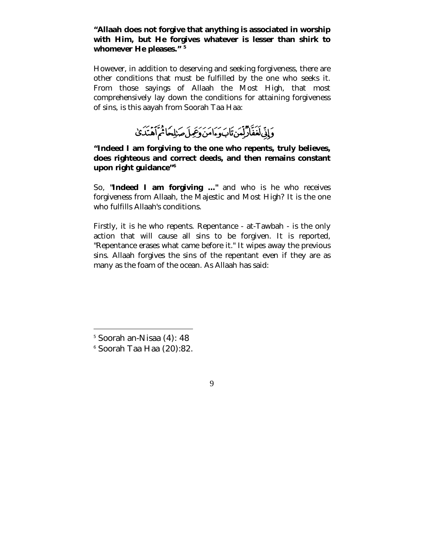### **"Allaah does not forgive that anything is associated in worship with Him, but He forgives whatever is lesser than shirk to whomever He pleases." <sup>5</sup>**

However, in addition to deserving and seeking forgiveness, there are other conditions that must be fulfilled by the one who seeks it. From those sayings of Allaah the Most High, that most comprehensively lay down the conditions for attaining forgiveness of sins, is this aayah from Soorah Taa Haa:

وَإِنِّى لَعَفَّادٌ لِّعَن تَابَ وَءَامَنَ وَعِمِلَ صَلِلِحَاثُمَ أَهْدَدَىٰ

**"Indeed I am forgiving to the one who repents, truly believes, does righteous and correct deeds, and then remains constant upon right guidance"<sup>6</sup>**

So, **"Indeed I am forgiving ..."** and who is he who receives forgiveness from Allaah, the Majestic and Most High? It is the one who fulfills Allaah's conditions.

Firstly, it is he who repents. Repentance - at-Tawbah - is the only action that will cause all sins to be forgiven. It is reported, "Repentance erases what came before it." It wipes away the previous sins. Allaah forgives the sins of the repentant even if they are as many as the foam of the ocean. As Allaah has said:

 $\overline{a}$ 

<sup>5</sup> Soorah an-Nisaa (4): 48

<sup>6</sup> Soorah Taa Haa (20):82.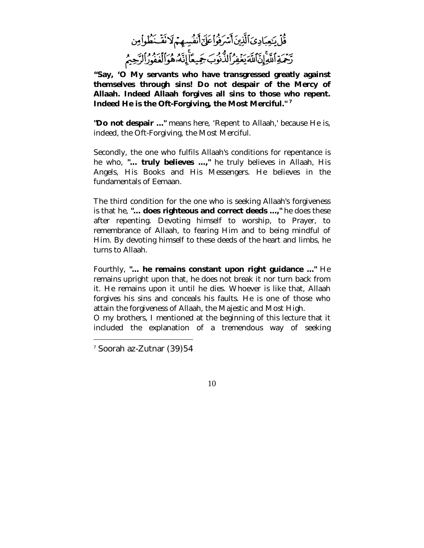# قُلْ يَحِبَادِىَ ٱلَّذِينَ أَسْرَفُواْعَلَىّ أَنفُسِهِمْ لَا نَقْخَطُواْمِن يَهْرَ اللَّهِ إِنَّاللَّهَ يَغْفِرُ الدُّنُوبَ جَمِيعًا إِنَّهُ هُوَالَمَعُورُ الرَّحِيمُ

**"Say, 'O My servants who have transgressed greatly against themselves through sins! Do not despair of the Mercy of Allaah. Indeed Allaah forgives all sins to those who repent. Indeed He is the Oft-Forgiving, the Most Merciful." 7**

**"Do not despair ..."** means here, 'Repent to Allaah,' because He is, indeed, the Oft-Forgiving, the Most Merciful.

Secondly, the one who fulfils Allaah's conditions for repentance is he who, **"... truly believes ...,"** he truly believes in Allaah, His Angels, His Books and His Messengers. He believes in the fundamentals of Eemaan.

The third condition for the one who is seeking Allaah's forgiveness is that he, **"... does righteous and correct deeds ...,"** he does these after repenting. Devoting himself to worship, to Prayer, to remembrance of Allaah, to fearing Him and to being mindful of Him. By devoting himself to these deeds of the heart and limbs, he turns to Allaah.

Fourthly, **"... he remains constant upon right guidance ..."** He remains upright upon that, he does not break it nor turn back from it. He remains upon it until he dies. Whoever is like that, Allaah forgives his sins and conceals his faults. He is one of those who attain the forgiveness of Allaah, the Majestic and Most High.

O my brothers, I mentioned at the beginning of this lecture that it included the explanation of a tremendous way of seeking

 $\overline{a}$ 

<sup>7</sup> Soorah az-Zutnar (39)54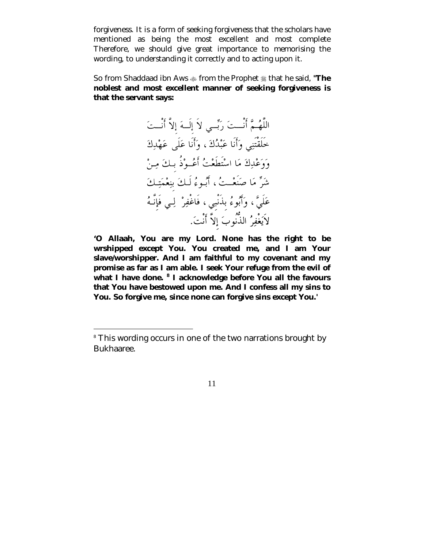forgiveness. It is a form of seeking forgiveness that the scholars have mentioned as being the most excellent and most complete Therefore, we should give great importance to memorising the wording, to understanding it correctly and to acting upon it.

So from Shaddaad ibn Aws  $\triangleq$  from the Prophet  $\triangleq$  that he said, "The **noblest and most excellent manner of seeking forgiveness is that the servant says:** 

اللَّهُمَّ أَنْــتَ رَبِّــى لاَ إِلَــهَ إِلاَّ أَنْــتَ حَلَقْتَنِي وَأَنَا عَبْدُكَ ، وَأَنَا عَلَى عَهْدِكَ وَوَعْدِكَ مَا اسْتَطَعْتُ أَعُـوْذُ بِـكَ مِـنْ شَرٌّ مَا صَنَعْتُ ، أَبُوءُ لَيكَ بِنِعْمَتِكَ عَلَيَّ ، وَأَبُوءُ بِذَنْبِي ، فَاغْفِرْ ۚ لِـي فَإِنَّـهُ لاَيَغْفِرُ الذُّنُوبَ إلاَّ أَنْتَ.

**'O Allaah, You are my Lord. None has the right to be wrshipped except You. You created me, and I am Your slave/worshipper. And I am faithful to my covenant and my promise as far as I am able. I seek Your refuge from the evil of what I have done. <sup>8</sup> I acknowledge before You all the favours that You have bestowed upon me. And I confess all my sins to You. So forgive me, since none can forgive sins except You.'** 

 $\overline{a}$ 

<sup>&</sup>lt;sup>8</sup> This wording occurs in one of the two narrations brought by Bukhaaree.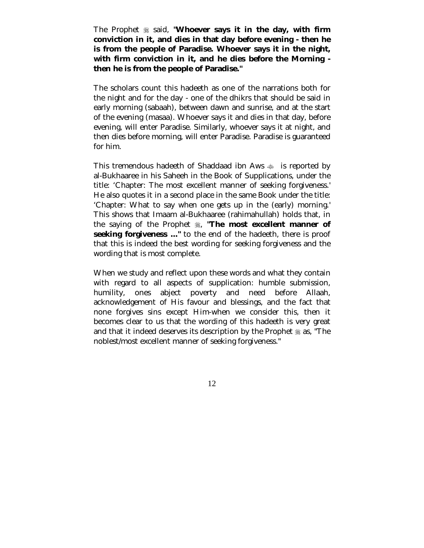The Prophet  $\#$  said, **"Whoever says it in the day, with firm conviction in it, and dies in that day before evening - then he is from the people of Paradise. Whoever says it in the night, with firm conviction in it, and he dies before the Morning then he is from the people of Paradise."** 

The scholars count this hadeeth as one of the narrations both for the night and for the day - one of the dhikrs that should be said in early morning (sabaah), between dawn and sunrise, and at the start of the evening (masaa). Whoever says it and dies in that day, before evening, will enter Paradise. Similarly, whoever says it at night, and then dies before morning, will enter Paradise. Paradise is guaranteed for him.

This tremendous hadeeth of Shaddaad ibn Aws  $\ast$  is reported by al-Bukhaaree in his Saheeh in the Book of Supplications, under the title: 'Chapter: The most excellent manner of seeking forgiveness.' He also quotes it in a second place in the same Book under the title: 'Chapter: What to say when one gets up in the (early) morning.' This shows that Imaam al-Bukhaaree (rahimahullah) holds that, in the saying of the Prophet  $\frac{1}{26}$ , **"The most excellent manner of seeking forgiveness ..."** to the end of the hadeeth, there is proof that this is indeed the best wording for seeking forgiveness and the wording that is most complete.

When we study and reflect upon these words and what they contain with regard to all aspects of supplication: humble submission, humility, ones abject poverty and need before Allaah, acknowledgement of His favour and blessings, and the fact that none forgives sins except Him-when we consider this, then it becomes clear to us that the wording of this hadeeth is very great and that it indeed deserves its description by the Prophet  $\frac{1}{28}$  as, "The noblest/most excellent manner of seeking forgiveness."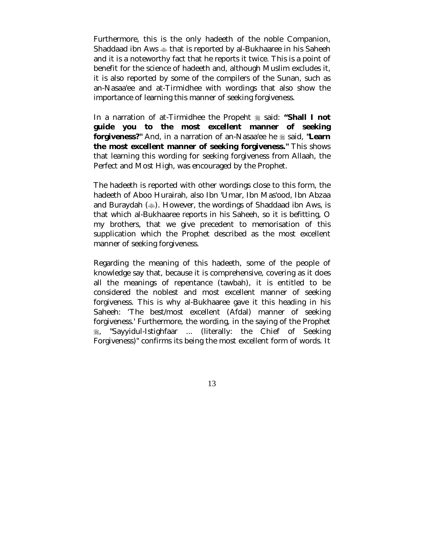Furthermore, this is the only hadeeth of the noble Companion, Shaddaad ibn Aws # that is reported by al-Bukhaaree in his Saheeh and it is a noteworthy fact that he reports it twice. This is a point of benefit for the science of hadeeth and, although Muslim excludes it, it is also reported by some of the compilers of the Sunan, such as an-Nasaa'ee and at-Tirmidhee with wordings that also show the importance of learning this manner of seeking forgiveness.

In a narration of at-Tirmidhee the Propeht  $\frac{1}{20}$  said: "Shall I not **guide you to the most excellent manner of seeking forgiveness?"** And, in a narration of an-Nasaa'ee he  $\frac{4}{26}$  said, "Learn **the most excellent manner of seeking forgiveness."** This shows that learning this wording for seeking forgiveness from Allaah, the Perfect and Most High, was encouraged by the Prophet.

The hadeeth is reported with other wordings close to this form, the hadeeth of Aboo Hurairah, also Ibn 'Umar, Ibn Mas'ood, Ibn Abzaa and Buraydah (#). However, the wordings of Shaddaad ibn Aws, is that which al-Bukhaaree reports in his Saheeh, so it is befitting, O my brothers, that we give precedent to memorisation of this supplication which the Prophet described as the most excellent manner of seeking forgiveness.

Regarding the meaning of this hadeeth, some of the people of knowledge say that, because it is comprehensive, covering as it does all the meanings of repentance (tawbah), it is entitled to be considered the noblest and most excellent manner of seeking forgiveness. This is why al-Bukhaaree gave it this heading in his Saheeh: 'The best/most excellent (Afdal) manner of seeking forgiveness.' Furthermore, the wording, in the saying of the Prophet !, "Sayyidul-Istighfaar ... (literally: the Chief of Seeking Forgiveness)" confirms its being the most excellent form of words. It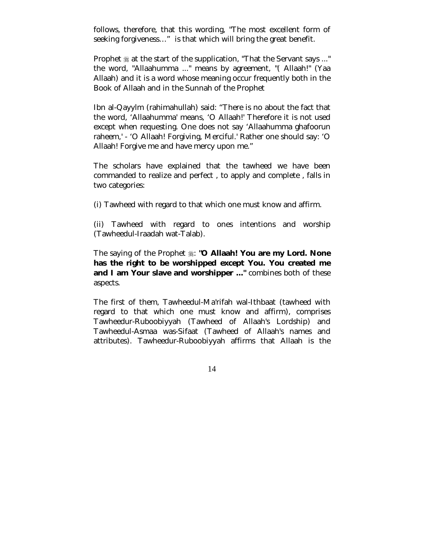follows, therefore, that this wording, "The most excellent form of seeking forgiveness…" is that which will bring the great benefit.

Prophet  $\frac{1}{20}$  at the start of the supplication, "That the Servant says ..." the word, "Allaahumma ..." means by agreement, "( Allaah!" (Yaa Allaah) and it is a word whose meaning occur frequently both in the Book of Allaah and in the Sunnah of the Prophet

Ibn al-Qayylm (rahimahullah) said: "There is no about the fact that the word, 'Allaahumma' means, 'O Allaah!' Therefore it is not used except when requesting. One does not say 'Allaahumma ghafoorun raheem,' - 'O Allaah! Forgiving, Merciful.' Rather one should say: 'O Allaah! Forgive me and have mercy upon me."

The scholars have explained that the tawheed we have been commanded to realize and perfect , to apply and complete , falls in two categories:

(i) Tawheed with regard to that which one must know and affirm.

(ii) Tawheed with regard to ones intentions and worship (Tawheedul-Iraadah wat-Talab).

The saying of the Prophet  $\frac{1}{2}$ : **"O Allaah! You are my Lord. None has the right to be worshipped except You. You created me and I am Your slave and worshipper ..."** combines both of these aspects.

The first of them, Tawheedul-Ma'rifah wal-Ithbaat (tawheed with regard to that which one must know and affirm), comprises Tawheedur-Ruboobiyyah (Tawheed of Allaah's Lordship) and Tawheedul-Asmaa was-Sifaat (Tawheed of Allaah's names and attributes). Tawheedur-Ruboobiyyah affirms that Allaah is the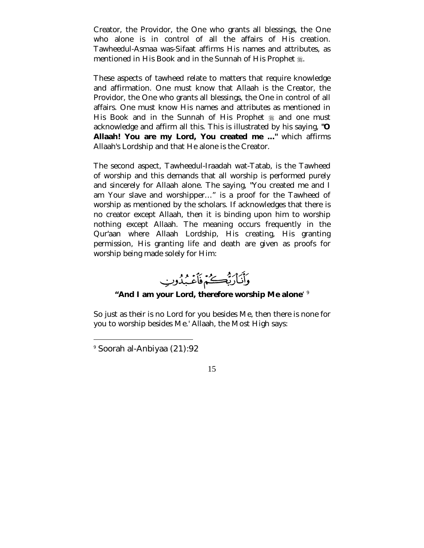Creator, the Providor, the One who grants all blessings, the One who alone is in control of all the affairs of His creation. Tawheedul-Asmaa was-Sifaat affirms His names and attributes, as mentioned in His Book and in the Sunnah of His Prophet ...

These aspects of tawheed relate to matters that require knowledge and affirmation. One must know that Allaah is the Creator, the Providor, the One who grants all blessings, the One in control of all affairs. One must know His names and attributes as mentioned in His Book and in the Sunnah of His Prophet  $\frac{4}{36}$  and one must acknowledge and affirm all this. This is illustrated by his saying, **"O Allaah! You are my Lord, You created me ..."** which affirms Allaah's Lordship and that He alone is the Creator.

The second aspect, Tawheedul-Iraadah wat-Tatab, is the Tawheed of worship and this demands that all worship is performed purely and sincerely for Allaah alone. The saying, "You created me and I am Your slave and worshipper…" is a proof for the Tawheed of worship as mentioned by the scholars. If acknowledges that there is no creator except Allaah, then it is binding upon him to worship nothing except Allaah. The meaning occurs frequently in the Qur'aan where Allaah Lordship, His creating, His granting permission, His granting life and death are given as proofs for worship being made solely for Him:

وَأَنَارَبُّكُمْ فَأَعْبَدُوبِ

#### **"And I am your Lord, therefore worship Me alone**' 9

So just as their is no Lord for you besides Me, then there is none for you to worship besides Me.' Allaah, the Most High says:

 $\overline{a}$ 

<sup>9</sup> Soorah al-Anbiyaa (21):92

 <sup>15</sup>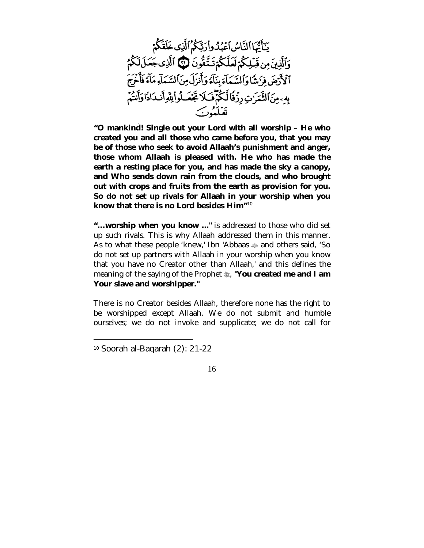يَآَيُّهَا النَّاسُ أَعْبُدُوا رَبَّكُمُ ٱلَّذِى خَلَقَكُمْ وَٱلَّذِينَ مِن قَبْلِكُمْ لَعَلَّكُمْ تَتَّقُونَ لَيْنَ ٱلَّذِى جَعَلَلَكُمُ ٱلْأَرْضَ فِرَٰ شَاوَاْلِسَّمَآءَ بِنَآءَ وَأَنزَلَ مِنَ ٱلسَّمَآءِ مَآءَ فَأَخْرَجَ بِهِ مِنَ الثَّمَرُتِ رِزْقًا لَكُمْ فَكَلَّ تَجْعَلُوا لِلَّهِ أَندَادًا وَأَنتُمْ

**"O mankind! Single out your Lord with all worship – He who created you and all those who came before you, that you may be of those who seek to avoid Allaah's punishment and anger, those whom Allaah is pleased with. He who has made the earth a resting place for you, and has made the sky a canopy, and Who sends down rain from the clouds, and who brought out with crops and fruits from the earth as provision for you. So do not set up rivals for Allaah in your worship when you know that there is no Lord besides Him"**10

**"…worship when you know ..."** is addressed to those who did set up such rivals. This is why Allaah addressed them in this manner. As to what these people 'knew,' Ibn 'Abbaas  $\triangleq$  and others said, 'So do not set up partners with Allaah in your worship when you know that you have no Creator other than Allaah,' and this defines the meaning of the saying of the Prophet  $\ddagger$ , **"You created me and I am Your slave and worshipper."** 

There is no Creator besides Allaah, therefore none has the right to be worshipped except Allaah. We do not submit and humble ourselves; we do not invoke and supplicate; we do not call for

 $\overline{a}$ 

<sup>10</sup> Soorah al-Baqarah (2): 21-22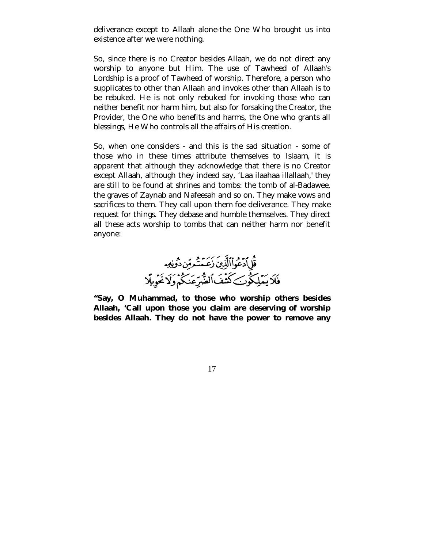deliverance except to Allaah alone-the One Who brought us into existence after we were nothing.

So, since there is no Creator besides Allaah, we do not direct any worship to anyone but Him. The use of Tawheed of Allaah's Lordship is a proof of Tawheed of worship. Therefore, a person who supplicates to other than Allaah and invokes other than Allaah is to be rebuked. He is not only rebuked for invoking those who can neither benefit nor harm him, but also for forsaking the Creator, the Provider, the One who benefits and harms, the One who grants all blessings, He Who controls all the affairs of His creation.

So, when one considers - and this is the sad situation - some of those who in these times attribute themselves to Islaam, it is apparent that although they acknowledge that there is no Creator except Allaah, although they indeed say, 'Laa ilaahaa illallaah,' they are still to be found at shrines and tombs: the tomb of al-Badawee, the graves of Zaynab and Nafeesah and so on. They make vows and sacrifices to them. They call upon them foe deliverance. They make request for things. They debase and humble themselves. They direct all these acts worship to tombs that can neither harm nor benefit anyone:



**"Say, O Muhammad, to those who worship others besides Allaah, 'Call upon those you claim are deserving of worship besides Allaah. They do not have the power to remove any**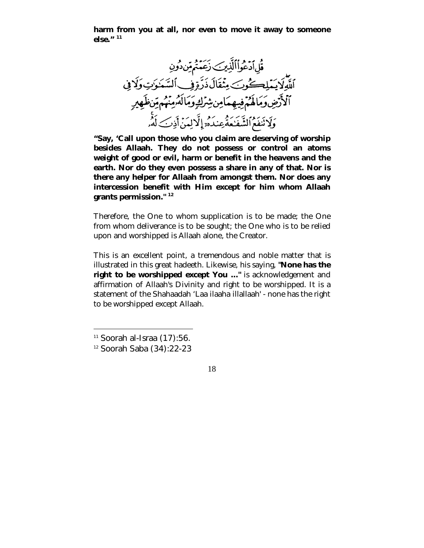**harm from you at all, nor even to move it away to someone else." <sup>11</sup>**



**"Say, 'Call upon those who you claim are deserving of worship besides Allaah. They do not possess or control an atoms weight of good or evil, harm or benefit in the heavens and the earth. Nor do they even possess a share in any of that. Nor is there any helper for Allaah from amongst them. Nor does any intercession benefit with Him except for him whom Allaah grants permission." <sup>12</sup>**

Therefore, the One to whom supplication is to be made; the One from whom deliverance is to be sought; the One who is to be relied upon and worshipped is Allaah alone, the Creator.

This is an excellent point, a tremendous and noble matter that is illustrated in this great hadeeth. Likewise, his saying, **"None has the right to be worshipped except You ..."** is acknowledgement and affirmation of Allaah's Divinity and right to be worshipped. It is a statement of the Shahaadah 'Laa ilaaha illallaah' - none has the right to be worshipped except Allaah.

 $\overline{a}$ 

 $11$  Soorah al-Israa  $(17)$ :56.

<sup>12</sup> Soorah Saba (34):22-23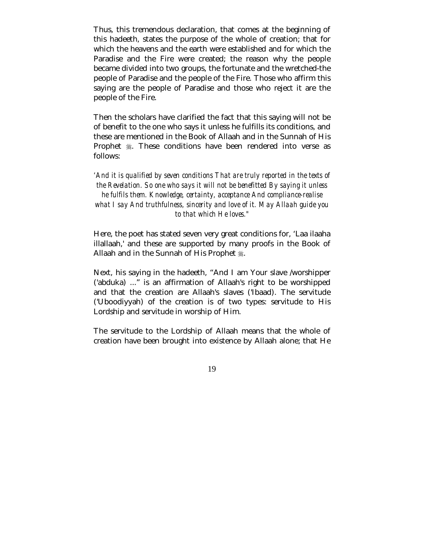Thus, this tremendous declaration, that comes at the beginning of this hadeeth, states the purpose of the whole of creation; that for which the heavens and the earth were established and for which the Paradise and the Fire were created; the reason why the people became divided into two groups, the fortunate and the wretched-the people of Paradise and the people of the Fire. Those who affirm this saying are the people of Paradise and those who reject it are the people of the Fire.

Then the scholars have clarified the fact that this saying will not be of benefit to the one who says it unless he fulfills its conditions, and these are mentioned in the Book of Allaah and in the Sunnah of His Prophet  $\frac{1}{2}$ . These conditions have been rendered into verse as follows:

*'And it is qualified by seven conditions That are truly reported in the texts of the Revelation. So one who says it will not be benefitted By saying it unless he fulfils them. Knowledge, certainty, acceptance And compliance-realise what I say And truthfulness, sincerity and love of it. May Allaah guide you to that which He loves."* 

Here, the poet has stated seven very great conditions for, 'Laa ilaaha illallaah,' and these are supported by many proofs in the Book of Allaah and in the Sunnah of His Prophet ...

Next, his saying in the hadeeth, "And I am Your slave /worshipper ('abduka) ..." is an affirmation of Allaah's right to be worshipped and that the creation are Allaah's slaves ('Ibaad). The servitude ('Uboodiyyah) of the creation is of two types: servitude to His Lordship and servitude in worship of Him.

The servitude to the Lordship of Allaah means that the whole of creation have been brought into existence by Allaah alone; that He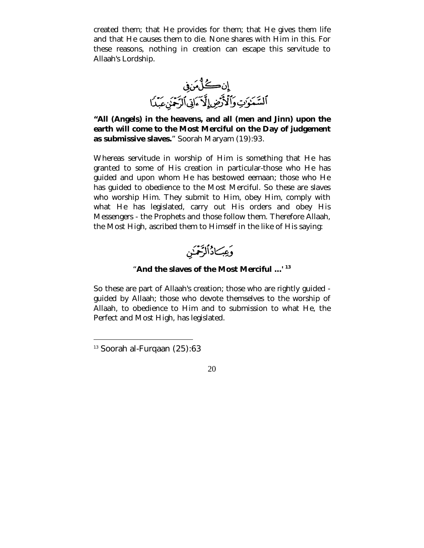created them; that He provides for them; that He gives them life and that He causes them to die. None shares with Him in this. For these reasons, nothing in creation can escape this servitude to Allaah's Lordship.



**"All (Angels) in the heavens, and all (men and Jinn) upon the earth will come to the Most Merciful on the Day of judgement as submissive slaves.**" Soorah Maryam (19):93.

Whereas servitude in worship of Him is something that He has granted to some of His creation in particular-those who He has guided and upon whom He has bestowed eemaan; those who He has guided to obedience to the Most Merciful. So these are slaves who worship Him. They submit to Him, obey Him, comply with what He has legislated, carry out His orders and obey His Messengers - the Prophets and those follow them. Therefore Allaah, the Most High, ascribed them to Himself in the like of His saying:



#### "**And the slaves of the Most Merciful ...' 13**

So these are part of Allaah's creation; those who are rightly guided guided by Allaah; those who devote themselves to the worship of Allaah, to obedience to Him and to submission to what He, the Perfect and Most High, has legislated.

 $\overline{a}$ 

<sup>13</sup> Soorah al-Furqaan (25):63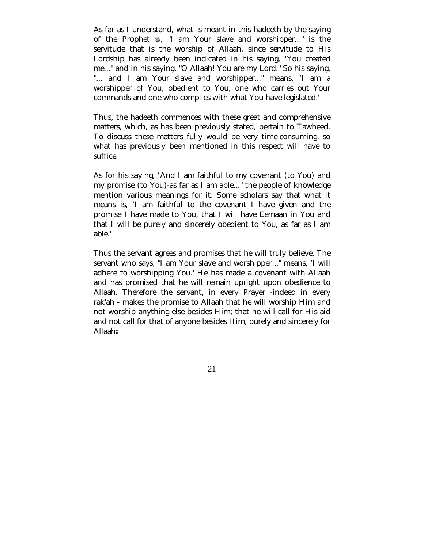As far as I understand, what is meant in this hadeeth by the saying of the Prophet  $\frac{4}{36}$ , "I am Your slave and worshipper..." is the servitude that is the worship of Allaah, since servitude to His Lordship has already been indicated in his saying, "You created me..." and in his saying, "O Allaah! You are my Lord." So his saying, "... and I am Your slave and worshipper..." means, 'I am a worshipper of You, obedient to You, one who carries out Your commands and one who complies with what You have legislated.'

Thus, the hadeeth commences with these great and comprehensive matters, which, as has been previously stated, pertain to Tawheed. To discuss these matters fully would be very time-consuming, so what has previously been mentioned in this respect will have to suffice.

As for his saying, "And I am faithful to my covenant (to You) and my promise (to You)-as far as I am able..." the people of knowledge mention various meanings for it. Some scholars say that what it means is, 'I am faithful to the covenant I have given and the promise I have made to You, that I will have Eemaan in You and that I will be purely and sincerely obedient to You, as far as I am able.'

Thus the servant agrees and promises that he will truly believe. The servant who says, "I am Your slave and worshipper..." means, 'I will adhere to worshipping You.' He has made a covenant with Allaah and has promised that he will remain upright upon obedience to Allaah. Therefore the servant, in every Prayer -indeed in every rak'ah - makes the promise to Allaah that he will worship Him and not worship anything else besides Him; that he will call for His aid and not call for that of anyone besides Him, purely and sincerely for Allaah**:**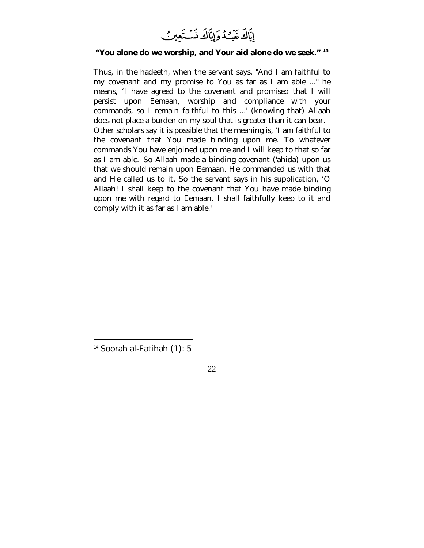

#### **"You alone do we worship, and Your aid alone do we seek." <sup>14</sup>**

Thus, in the hadeeth, when the servant says, "And I am faithful to my covenant and my promise to You as far as I am able ..." he means, 'I have agreed to the covenant and promised that I will persist upon Eemaan, worship and compliance with your commands, so I remain faithful to this ...' (knowing that) Allaah does not place a burden on my soul that is greater than it can bear. Other scholars say it is possible that the meaning is, 'I am faithful to the covenant that You made binding upon me. To whatever commands You have enjoined upon me and I will keep to that so far as I am able.' So Allaah made a binding covenant ('ahida) upon us that we should remain upon Eemaan. He commanded us with that and He called us to it. So the servant says in his supplication, 'O Allaah! I shall keep to the covenant that You have made binding upon me with regard to Eemaan. I shall faithfully keep to it and comply with it as far as I am able.'

 $\overline{a}$ 

<sup>&</sup>lt;sup>14</sup> Soorah al-Fatihah (1): 5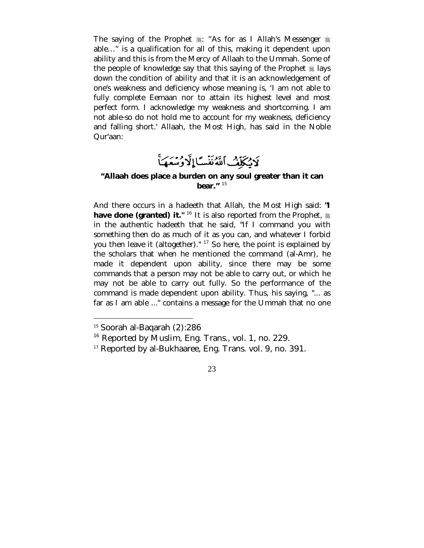The saying of the Prophet  $\frac{1}{25}$ : "As for as I Allah's Messenger  $\frac{1}{25}$ able…" is a qualification for all of this, making it dependent upon ability and this is from the Mercy of Allaah to the Ummah. Some of the people of knowledge say that this saying of the Prophet  $\frac{4}{36}$  lays down the condition of ability and that it is an acknowledgement of one's weakness and deficiency whose meaning is, 'I am not able to fully complete Eemaan nor to attain its highest level and most perfect form. I acknowledge my weakness and shortcoming. I am not able-so do not hold me to account for my weakness, deficiency and falling short.' Allaah, the Most High, has said in the Noble Qur'aan:

# لَايُكَلِّفُ ٱللَّهُ نَفْسًا إِلَّا وُسْعَهَا

#### **"Allaah does place a burden on any soul greater than it can bear."** <sup>15</sup>

And there occurs in a hadeeth that Allah, the Most High said: **"I have done (granted) it."** <sup>16</sup> It is also reported from the Prophet,  $\frac{16}{26}$ in the authentic hadeeth that he said, "If I command you with something then do as much of it as you can, and whatever I forbid you then leave it (altogether)." 17 So here, the point is explained by the scholars that when he mentioned the command (al-Amr), he made it dependent upon ability, since there may be some commands that a person may not be able to carry out, or which he may not be able to carry out fully. So the performance of the command is made dependent upon ability. Thus, his saying, "... as far as I am able ..." contains a message for the Ummah that no one

 $\overline{a}$ 

<sup>15</sup> Soorah al-Baqarah (2):286

<sup>&</sup>lt;sup>16</sup> Reported by Muslim, Eng. Trans., vol. 1, no. 229.

<sup>&</sup>lt;sup>17</sup> Reported by al-Bukhaaree, Eng. Trans. vol. 9, no. 391.

 <sup>23</sup>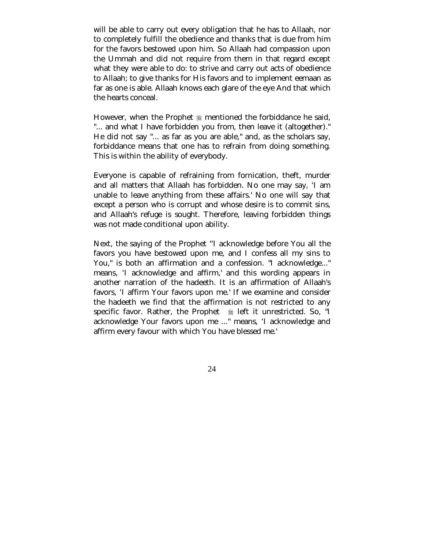will be able to carry out every obligation that he has to Allaah, nor to completely fulfill the obedience and thanks that is due from him for the favors bestowed upon him. So Allaah had compassion upon the Ummah and did not require from them in that regard except what they were able to do: to strive and carry out acts of obedience to Allaah; to give thanks for His favors and to implement eemaan as far as one is able. Allaah knows each glare of the eye And that which the hearts conceal.

However, when the Prophet  $\frac{1}{20}$  mentioned the forbiddance he said, "... and what I have forbidden you from, then leave it (altogether)." He did not say "... as far as you are able," and, as the scholars say, forbiddance means that one has to refrain from doing something. This is within the ability of everybody.

Everyone is capable of refraining from fornication, theft, murder and all matters that Allaah has forbidden. No one may say, 'I am unable to leave anything from these affairs.' No one will say that except a person who is corrupt and whose desire is to commit sins, and Allaah's refuge is sought. Therefore, leaving forbidden things was not made conditional upon ability.

Next, the saying of the Prophet "I acknowledge before You all the favors you have bestowed upon me, and I confess all my sins to You," is both an affirmation and a confession. "I acknowledge..." means, 'I acknowledge and affirm,' and this wording appears in another narration of the hadeeth. It is an affirmation of Allaah's favors, 'I affirm Your favors upon me.' If we examine and consider the hadeeth we find that the affirmation is not restricted to any specific favor. Rather, the Prophet  $*$  left it unrestricted. So, "I acknowledge Your favors upon me ..." means, 'I acknowledge and affirm every favour with which You have blessed me.'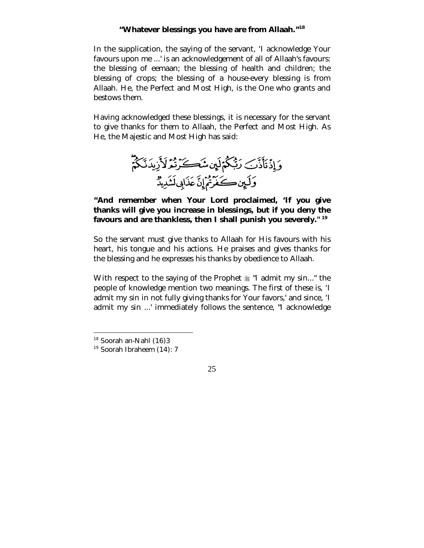#### **"Whatever blessings you have are from Allaah."<sup>18</sup>**

In the supplication, the saying of the servant, 'I acknowledge Your favours upon me ...' is an acknowledgement of all of Allaah's favours: the blessing of eemaan; the blessing of health and children; the blessing of crops; the blessing of a house-every blessing is from Allaah. He, the Perfect and Most High, is the One who grants and bestows them.

Having acknowledged these blessings, it is necessary for the servant to give thanks for them to Allaah, the Perfect and Most High. As He, the Majestic and Most High has said:



## **"And remember when Your Lord proclaimed, 'If you give thanks will give you increase in blessings, but if you deny the favours and are thankless, then I shall punish you severely." <sup>19</sup>**

So the servant must give thanks to Allaah for His favours with his heart, his tongue and his actions. He praises and gives thanks for the blessing and he expresses his thanks by obedience to Allaah.

With respect to the saying of the Prophet  $\frac{1}{26}$  "I admit my sin..." the people of knowledge mention two meanings. The first of these is, 'I admit my sin in not fully giving thanks for Your favors,' and since, 'I admit my sin ...' immediately follows the sentence, "I acknowledge

 $\overline{a}$ 

<sup>&</sup>lt;sup>18</sup> Soorah an-Nahl (16)3

<sup>19</sup> Soorah Ibraheem (14): 7

 <sup>25</sup>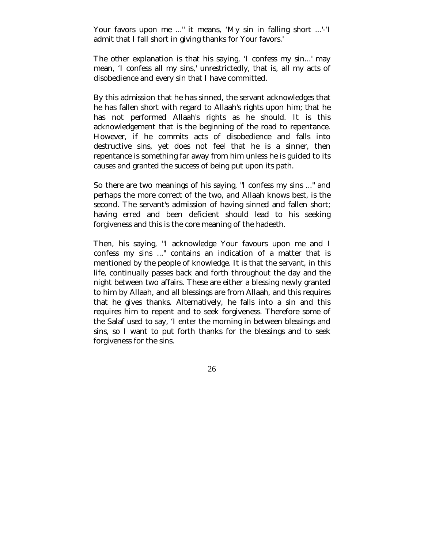Your favors upon me ..." it means, 'My sin in falling short ...'-'I admit that I fall short in giving thanks for Your favors.'

The other explanation is that his saying, 'I confess my sin...' may mean, 'I confess all my sins,' unrestrictedly, that is, all my acts of disobedience and every sin that I have committed.

By this admission that he has sinned, the servant acknowledges that he has fallen short with regard to Allaah's rights upon him; that he has not performed Allaah's rights as he should. It is this acknowledgement that is the beginning of the road to repentance. However, if he commits acts of disobedience and falls into destructive sins, yet does not feel that he is a sinner, then repentance is something far away from him unless he is guided to its causes and granted the success of being put upon its path.

So there are two meanings of his saying, "I confess my sins ..." and perhaps the more correct of the two, and Allaah knows best, is the second. The servant's admission of having sinned and fallen short; having erred and been deficient should lead to his seeking forgiveness and this is the core meaning of the hadeeth.

Then, his saying, "I acknowledge Your favours upon me and I confess my sins ..." contains an indication of a matter that is mentioned by the people of knowledge. It is that the servant, in this life, continually passes back and forth throughout the day and the night between two affairs. These are either a blessing newly granted to him by Allaah, and all blessings are from Allaah, and this requires that he gives thanks. Alternatively, he falls into a sin and this requires him to repent and to seek forgiveness. Therefore some of the Salaf used to say, 'I enter the morning in between blessings and sins, so I want to put forth thanks for the blessings and to seek forgiveness for the sins.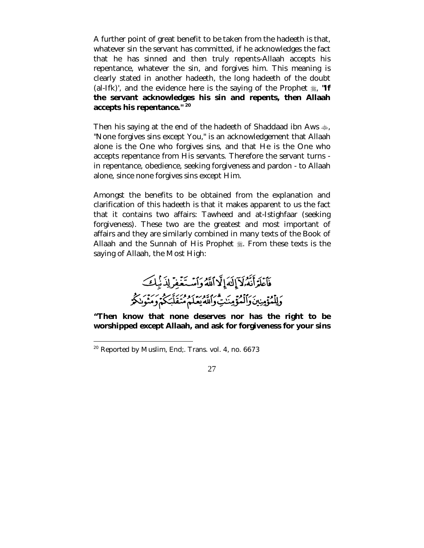A further point of great benefit to be taken from the hadeeth is that, whatever sin the servant has committed, if he acknowledges the fact that he has sinned and then truly repents-Allaah accepts his repentance, whatever the sin, and forgives him. This meaning is clearly stated in another hadeeth, the long hadeeth of the doubt (al-Ifk)', and the evidence here is the saying of the Prophet  $\ddot{\mathcal{E}}$ , "If **the servant acknowledges his sin and repents, then Allaah accepts his repentance." 20**

Then his saying at the end of the hadeeth of Shaddaad ibn Aws  $\clubsuit$ , "None forgives sins except You," is an acknowledgement that Allaah alone is the One who forgives sins, and that He is the One who accepts repentance from His servants. Therefore the servant turns in repentance, obedience, seeking forgiveness and pardon - to Allaah alone, since none forgives sins except Him.

Amongst the benefits to be obtained from the explanation and clarification of this hadeeth is that it makes apparent to us the fact that it contains two affairs: Tawheed and at-Istighfaar (seeking forgiveness). These two are the greatest and most important of affairs and they are similarly combined in many texts of the Book of Allaah and the Sunnah of His Prophet . From these texts is the saying of Allaah, the Most High:

فَأَعْلَمَ أَنَّهُ لَآ إِلَٰهَ إِلَّا أَلَّهُ وَأَسْتَغْفِرْ لِذَّبِكَ وَلِلْمُؤْمِنِينَ وَٱلْمُؤْمِنَدِيُّ وَاللَّهِ يَعْلَمْ مُتَقَلِّبَكُمْ وَمَنْوَنِكُمْ

**"Then know that none deserves nor has the right to be worshipped except Allaah, and ask for forgiveness for your sins** 

 $\overline{a}$ 

<sup>20</sup> Reported by Muslim, End;. Trans. vol. 4, no. 6673

 <sup>27</sup>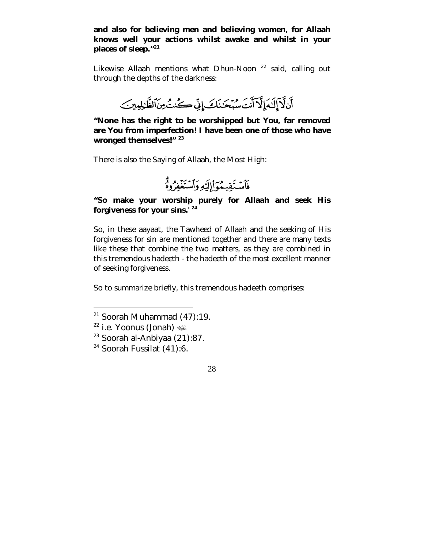**and also for believing men and believing women, for Allaah knows well your actions whilst awake and whilst in your places of sleep."<sup>21</sup>**

Likewise Allaah mentions what Dhun-Noon<sup>22</sup> said, calling out through the depths of the darkness:



**"None has the right to be worshipped but You, far removed are You from imperfection! I have been one of those who have wronged themselves!" <sup>23</sup>**

There is also the Saying of Allaah, the Most High:



# **"So make your worship purely for Allaah and seek His forgiveness for your sins.' 24**

So, in these aayaat, the Tawheed of Allaah and the seeking of His forgiveness for sin are mentioned together and there are many texts like these that combine the two matters, as they are combined in this tremendous hadeeth - the hadeeth of the most excellent manner of seeking forgiveness.

So to summarize briefly, this tremendous hadeeth comprises:

 $\overline{a}$ 

 $21$  Soorah Muhammad (47):19.

<sup>22</sup> i.e. Yoonus (Jonah)  $\mathbb{Z}$ 

<sup>23</sup> Soorah al-Anbiyaa (21):87.

 $24$  Soorah Fussilat (41):6.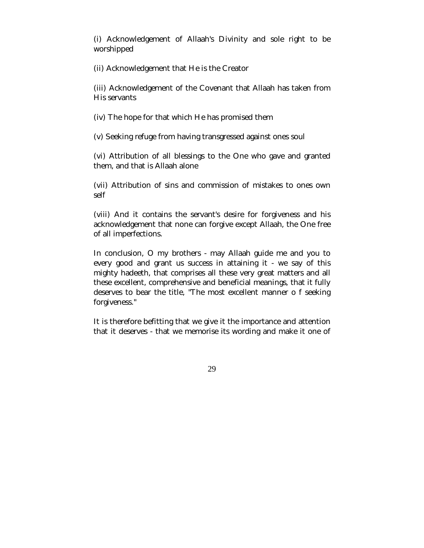(i) Acknowledgement of Allaah's Divinity and sole right to be worshipped

(ii) Acknowledgement that He is the Creator

(iii) Acknowledgement of the Covenant that Allaah has taken from His servants

(iv) The hope for that which He has promised them

(v) Seeking refuge from having transgressed against ones soul

(vi) Attribution of all blessings to the One who gave and granted them, and that is Allaah alone

(vii) Attribution of sins and commission of mistakes to ones own self

(viii) And it contains the servant's desire for forgiveness and his acknowledgement that none can forgive except Allaah, the One free of all imperfections.

In conclusion, O my brothers - may Allaah guide me and you to every good and grant us success in attaining it - we say of this mighty hadeeth, that comprises all these very great matters and all these excellent, comprehensive and beneficial meanings, that it fully deserves to bear the title, "The most excellent manner o f seeking forgiveness."

It is therefore befitting that we give it the importance and attention that it deserves - that we memorise its wording and make it one of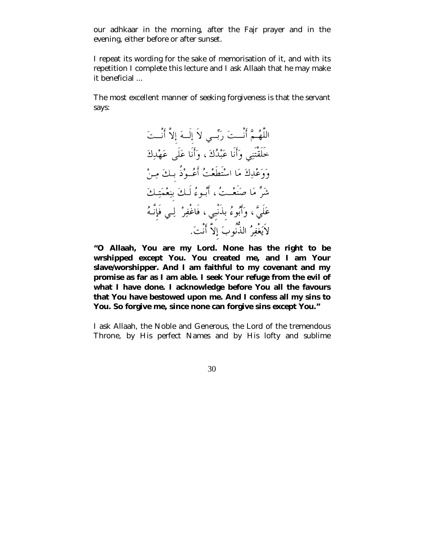our adhkaar in the morning, after the Fajr prayer and in the evening, either before or after sunset.

I repeat its wording for the sake of memorisation of it, and with its repetition I complete this lecture and I ask Allaah that he may make it beneficial ...

The most excellent manner of seeking forgiveness is that the servant says:



**"O Allaah, You are my Lord. None has the right to be wrshipped except You. You created me, and I am Your slave/worshipper. And I am faithful to my covenant and my promise as far as I am able. I seek Your refuge from the evil of what I have done. I acknowledge before You all the favours that You have bestowed upon me. And I confess all my sins to You. So forgive me, since none can forgive sins except You."**

I ask Allaah, the Noble and Generous, the Lord of the tremendous Throne, by His perfect Names and by His lofty and sublime